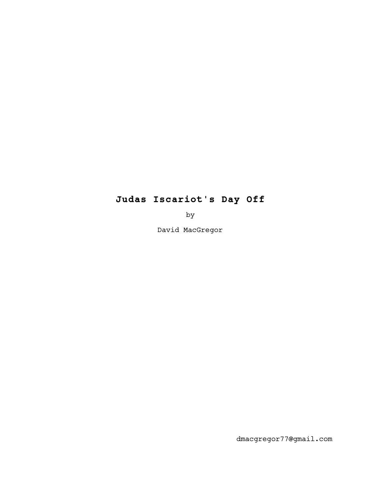# **Judas Iscariot's Day Off**

by

David MacGregor

dmacgregor77@gmail.com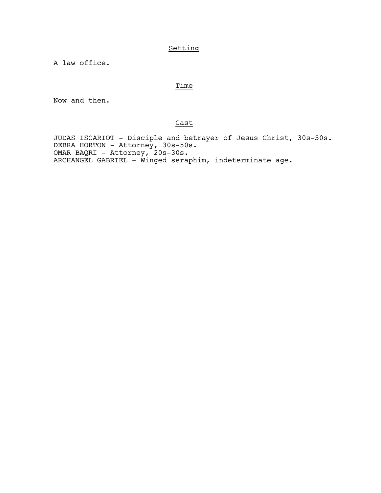# Setting

A law office.

## **Time**

Now and then.

## Cast

 JUDAS ISCARIOT - Disciple and betrayer of Jesus Christ, 30s-50s. DEBRA HORTON - Attorney, 30s-50s. OMAR BAQRI - Attorney, 20s-30s. ARCHANGEL GABRIEL - Winged seraphim, indeterminate age.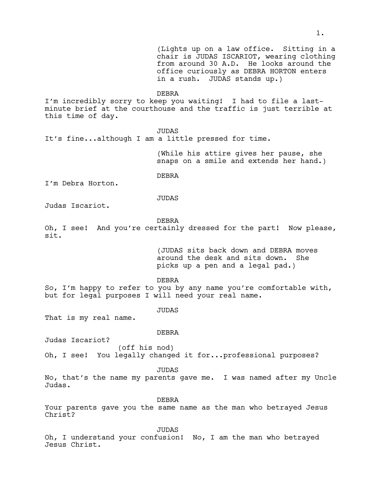(Lights up on a law office. Sitting in a chair is JUDAS ISCARIOT, wearing clothing from around 30 A.D. He looks around the office curiously as DEBRA HORTON enters in a rush. JUDAS stands up.) DEBRA I'm incredibly sorry to keep you waiting! I had to file a lastminute brief at the courthouse and the traffic is just terrible at this time of day. JUDAS It's fine...although I am a little pressed for time. (While his attire gives her pause, she snaps on a smile and extends her hand.) DEBRA I'm Debra Horton. JUDAS Judas Iscariot. DEBRA Oh, I see! And you're certainly dressed for the part! Now please, sit. (JUDAS sits back down and DEBRA moves around the desk and sits down. She picks up a pen and a legal pad.) DEBRA So, I'm happy to refer to you by any name you're comfortable with, but for legal purposes I will need your real name. JUDAS That is my real name. DEBRA Judas Iscariot? (off his nod) Oh, I see! You legally changed it for...professional purposes? JUDAS No, that's the name my parents gave me. I was named after my Uncle Judas.

DEBRA

Your parents gave you the same name as the man who betrayed Jesus Christ?

**JUDAS** 

Oh, I understand your confusion! No, I am the man who betrayed Jesus Christ.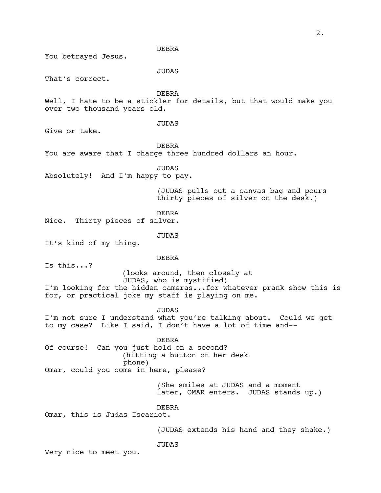DEBRA You betrayed Jesus. JUDAS That's correct. DEBRA Well, I hate to be a stickler for details, but that would make you over two thousand years old. JUDAS Give or take. DEBRA You are aware that I charge three hundred dollars an hour. JUDAS Absolutely! And I'm happy to pay. (JUDAS pulls out a canvas bag and pours thirty pieces of silver on the desk.) DEBRA Nice. Thirty pieces of silver. JUDAS It's kind of my thing. DEBRA Is this...? (looks around, then closely at JUDAS, who is mystified) I'm looking for the hidden cameras...for whatever prank show this is for, or practical joke my staff is playing on me. JUDAS I'm not sure I understand what you're talking about. Could we get to my case? Like I said, I don't have a lot of time and-- DEBRA Of course! Can you just hold on a second? (hitting a button on her desk phone) Omar, could you come in here, please? (She smiles at JUDAS and a moment later, OMAR enters. JUDAS stands up.) DEBRA Omar, this is Judas Iscariot. (JUDAS extends his hand and they shake.) JUDAS Very nice to meet you.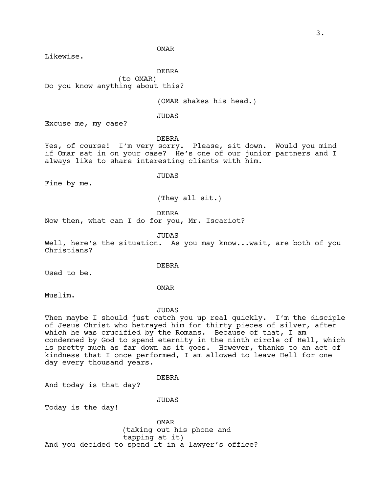OMAR

Likewise.

DEBRA

(to OMAR) Do you know anything about this?

(OMAR shakes his head.)

JUDAS

Excuse me, my case?

DEBRA

Yes, of course! I'm very sorry. Please, sit down. Would you mind if Omar sat in on your case? He's one of our junior partners and I always like to share interesting clients with him.

Fine by me.

JUDAS

(They all sit.)

DEBRA

Now then, what can I do for you, Mr. Iscariot?

JUDAS

Well, here's the situation. As you may know...wait, are both of you Christians?

DEBRA

Used to be.

OMAR

Muslim.

JUDAS

Then maybe I should just catch you up real quickly. I'm the disciple of Jesus Christ who betrayed him for thirty pieces of silver, after which he was crucified by the Romans. Because of that, I am condemned by God to spend eternity in the ninth circle of Hell, which is pretty much as far down as it goes. However, thanks to an act of kindness that I once performed, I am allowed to leave Hell for one day every thousand years.

DEBRA

And today is that day?

JUDAS

Today is the day!

OMAR (taking out his phone and tapping at it) And you decided to spend it in a lawyer's office?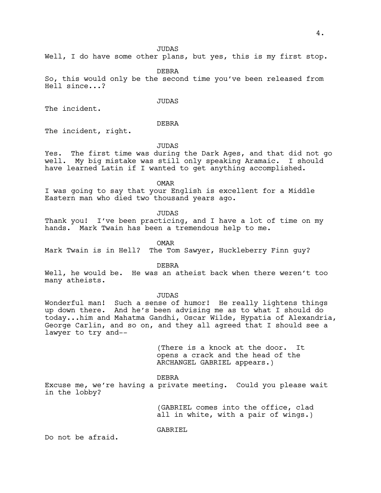Well, I do have some other plans, but yes, this is my first stop.

DEBRA

So, this would only be the second time you've been released from Hell since...?

**JUDAS** 

The incident.

## DEBRA

The incident, right.

#### JUDAS

Yes. The first time was during the Dark Ages, and that did not go well. My big mistake was still only speaking Aramaic. I should have learned Latin if I wanted to get anything accomplished.

OMAR

I was going to say that your English is excellent for a Middle Eastern man who died two thousand years ago.

JUDAS

Thank you! I've been practicing, and I have a lot of time on my hands. Mark Twain has been a tremendous help to me.

OMAR

Mark Twain is in Hell? The Tom Sawyer, Huckleberry Finn guy?

DEBRA

Well, he would be. He was an atheist back when there weren't too many atheists.

JUDAS

Wonderful man! Such a sense of humor! He really lightens things up down there. And he's been advising me as to what I should do today...him and Mahatma Gandhi, Oscar Wilde, Hypatia of Alexandria, George Carlin, and so on, and they all agreed that I should see a lawyer to try and--

> (There is a knock at the door. It opens a crack and the head of the ARCHANGEL GABRIEL appears.)

DEBRA

Excuse me, we're having a private meeting. Could you please wait in the lobby?

> (GABRIEL comes into the office, clad all in white, with a pair of wings.)

GABRIEL

Do not be afraid.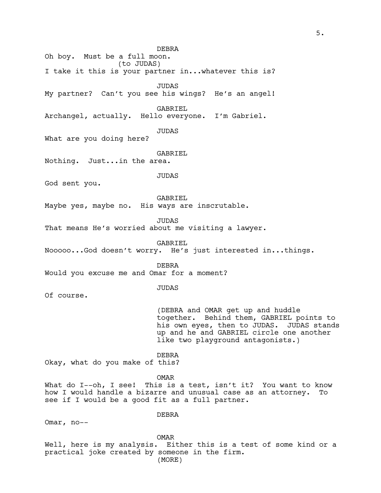DEBRA Oh boy. Must be a full moon. (to JUDAS) I take it this is your partner in...whatever this is? JUDAS My partner? Can't you see his wings? He's an angel! GABRIEL Archangel, actually. Hello everyone. I'm Gabriel. JUDAS What are you doing here? GABRIEL Nothing. Just...in the area. JUDAS God sent you. GABRIEL Maybe yes, maybe no. His ways are inscrutable. JUDAS That means He's worried about me visiting a lawyer. GABRIEL Nooooo...God doesn't worry. He's just interested in...things. DEBRA Would you excuse me and Omar for a moment? JUDAS Of course. (DEBRA and OMAR get up and huddle together. Behind them, GABRIEL points to his own eyes, then to JUDAS. JUDAS stands up and he and GABRIEL circle one another like two playground antagonists.) DEBRA Okay, what do you make of this? OMAR What do I--oh, I see! This is a test, isn't it? You want to know how I would handle a bizarre and unusual case as an attorney. To see if I would be a good fit as a full partner. DEBRA

OMAR

Omar, no--

Well, here is my analysis. Either this is a test of some kind or a practical joke created by someone in the firm. (MORE)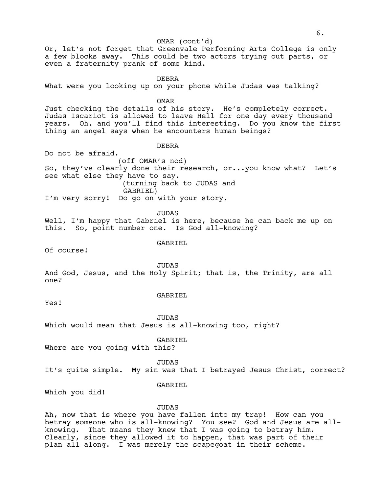#### OMAR (cont'd)

Or, let's not forget that Greenvale Performing Arts College is only a few blocks away. This could be two actors trying out parts, or even a fraternity prank of some kind.

DEBRA

What were you looking up on your phone while Judas was talking?

OMAR

Just checking the details of his story. He's completely correct. Judas Iscariot is allowed to leave Hell for one day every thousand years. Oh, and you'll find this interesting. Do you know the first thing an angel says when he encounters human beings?

#### DEBRA

Do not be afraid. (off OMAR's nod) So, they've clearly done their research, or...you know what? Let's see what else they have to say. (turning back to JUDAS and GABRIEL) I'm very sorry! Do go on with your story.

JUDAS

Well, I'm happy that Gabriel is here, because he can back me up on this. So, point number one. Is God all-knowing?

#### GABRIEL

Of course!

**JUDAS** 

And God, Jesus, and the Holy Spirit; that is, the Trinity, are all one?

Yes!

## GABRIEL

**JUDAS** 

Which would mean that Jesus is all-knowing too, right?

GABRIEL

Where are you going with this?

JUDAS

It's quite simple. My sin was that I betrayed Jesus Christ, correct?

### GABRIEL

Which you did!

#### JUDAS

Ah, now that is where you have fallen into my trap! How can you betray someone who is all-knowing? You see? God and Jesus are allknowing. That means they knew that I was going to betray him. Clearly, since they allowed it to happen, that was part of their plan all along. I was merely the scapegoat in their scheme.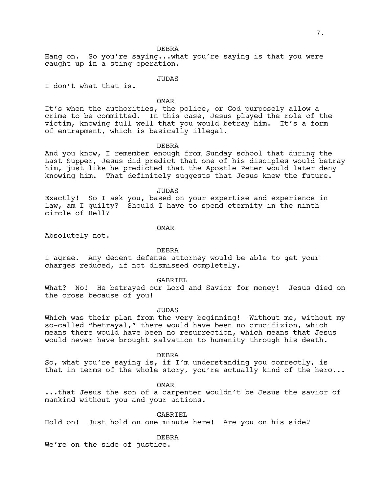DEBRA

Hang on. So you're saying...what you're saying is that you were caught up in a sting operation.

JUDAS

I don't what that is.

OMAR

It's when the authorities, the police, or God purposely allow a crime to be committed. In this case, Jesus played the role of the victim, knowing full well that you would betray him. It's a form of entrapment, which is basically illegal.

#### DEBRA

And you know, I remember enough from Sunday school that during the Last Supper, Jesus did predict that one of his disciples would betray him, just like he predicted that the Apostle Peter would later deny knowing him. That definitely suggests that Jesus knew the future.

JUDAS

Exactly! So I ask you, based on your expertise and experience in law, am I guilty? Should I have to spend eternity in the ninth circle of Hell?

OMAR

Absolutely not.

DEBRA

I agree. Any decent defense attorney would be able to get your charges reduced, if not dismissed completely.

GABRIEL

What? No! He betrayed our Lord and Savior for money! Jesus died on the cross because of you!

JUDAS

Which was their plan from the very beginning! Without me, without my so-called "betrayal," there would have been no crucifixion, which means there would have been no resurrection, which means that Jesus would never have brought salvation to humanity through his death.

DEBRA

So, what you're saying is, if I'm understanding you correctly, is that in terms of the whole story, you're actually kind of the hero...

OMAR

...that Jesus the son of a carpenter wouldn't be Jesus the savior of mankind without you and your actions.

GABRIEL Hold on! Just hold on one minute here! Are you on his side?

DEBRA

We're on the side of justice.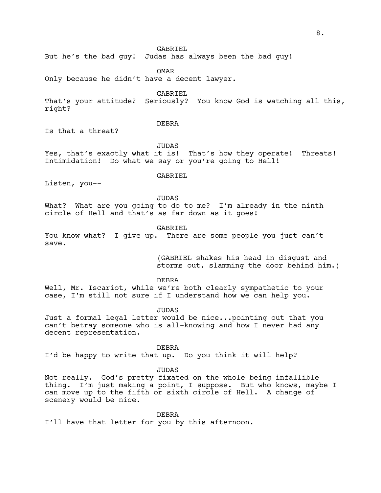But he's the bad guy! Judas has always been the bad guy!

OMAR

Only because he didn't have a decent lawyer.

GABRIEL

That's your attitude? Seriously? You know God is watching all this, right?

DEBRA

Is that a threat?

JUDAS

Yes, that's exactly what it is! That's how they operate! Threats! Intimidation! Do what we say or you're going to Hell!

Listen, you--

GABRIEL

JUDAS

What? What are you going to do to me? I'm already in the ninth circle of Hell and that's as far down as it goes!

GABRIEL

You know what? I give up. There are some people you just can't save.

> (GABRIEL shakes his head in disgust and storms out, slamming the door behind him.)

DEBRA

Well, Mr. Iscariot, while we're both clearly sympathetic to your case, I'm still not sure if I understand how we can help you.

JUDAS

Just a formal legal letter would be nice...pointing out that you can't betray someone who is all-knowing and how I never had any decent representation.

DEBRA

I'd be happy to write that up. Do you think it will help?

JUDAS

Not really. God's pretty fixated on the whole being infallible thing. I'm just making a point, I suppose. But who knows, maybe I can move up to the fifth or sixth circle of Hell. A change of scenery would be nice.

DEBRA

I'll have that letter for you by this afternoon.